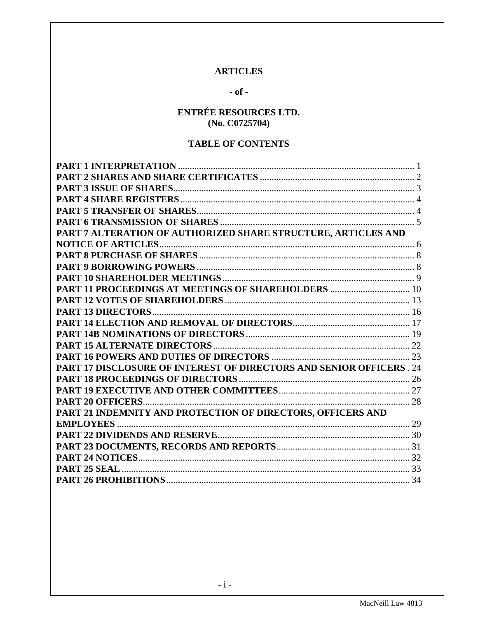### **ARTICLES**

## $-$  of  $-$

# **ENTRÉE RESOURCES LTD.** (No. C0725704)

## **TABLE OF CONTENTS**

| PART 7 ALTERATION OF AUTHORIZED SHARE STRUCTURE, ARTICLES AND        |  |
|----------------------------------------------------------------------|--|
|                                                                      |  |
|                                                                      |  |
|                                                                      |  |
|                                                                      |  |
| PART 11 PROCEEDINGS AT MEETINGS OF SHAREHOLDERS  10                  |  |
|                                                                      |  |
|                                                                      |  |
|                                                                      |  |
|                                                                      |  |
|                                                                      |  |
|                                                                      |  |
| PART 17 DISCLOSURE OF INTEREST OF DIRECTORS AND SENIOR OFFICERS . 24 |  |
|                                                                      |  |
|                                                                      |  |
|                                                                      |  |
| PART 21 INDEMNITY AND PROTECTION OF DIRECTORS, OFFICERS AND          |  |
|                                                                      |  |
|                                                                      |  |
|                                                                      |  |
|                                                                      |  |
|                                                                      |  |
|                                                                      |  |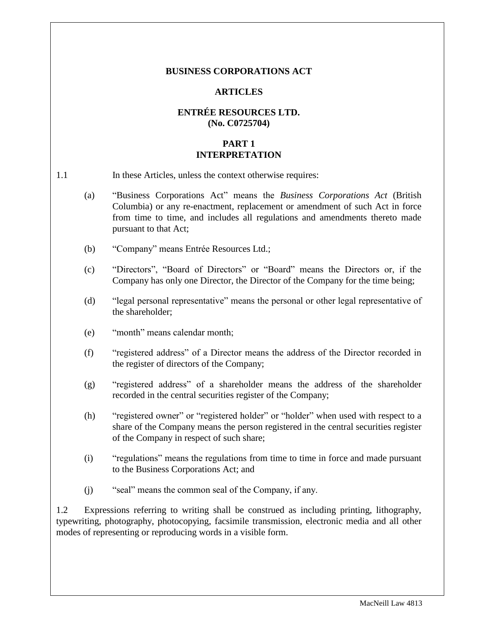#### **BUSINESS CORPORATIONS ACT**

#### **ARTICLES**

## **ENTRÉE RESOURCES LTD. (No. C0725704)**

#### **PART 1 INTERPRETATION**

<span id="page-1-0"></span>

| 1.1 | In these Articles, unless the context otherwise requires: |
|-----|-----------------------------------------------------------|
|-----|-----------------------------------------------------------|

- (a) "Business Corporations Act" means the *Business Corporations Act* (British Columbia) or any re-enactment, replacement or amendment of such Act in force from time to time, and includes all regulations and amendments thereto made pursuant to that Act;
- (b) "Company" means Entrée Resources Ltd.;
- (c) "Directors", "Board of Directors" or "Board" means the Directors or, if the Company has only one Director, the Director of the Company for the time being;
- (d) "legal personal representative" means the personal or other legal representative of the shareholder;
- (e) "month" means calendar month;
- (f) "registered address" of a Director means the address of the Director recorded in the register of directors of the Company;
- (g) "registered address" of a shareholder means the address of the shareholder recorded in the central securities register of the Company;
- (h) "registered owner" or "registered holder" or "holder" when used with respect to a share of the Company means the person registered in the central securities register of the Company in respect of such share;
- (i) "regulations" means the regulations from time to time in force and made pursuant to the Business Corporations Act; and
- (j) "seal" means the common seal of the Company, if any.

1.2 Expressions referring to writing shall be construed as including printing, lithography, typewriting, photography, photocopying, facsimile transmission, electronic media and all other modes of representing or reproducing words in a visible form.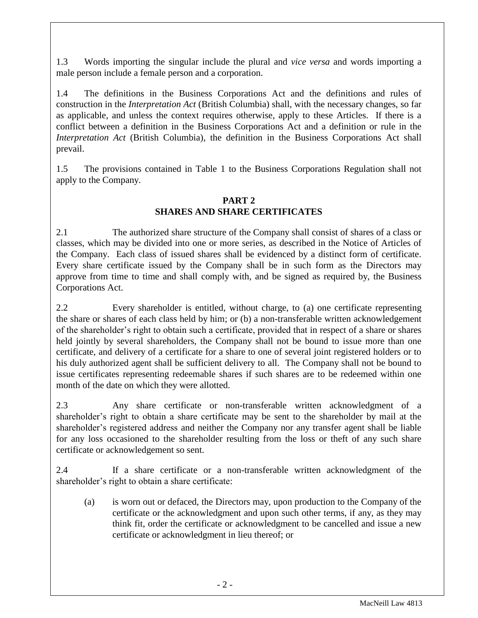1.3 Words importing the singular include the plural and *vice versa* and words importing a male person include a female person and a corporation.

1.4 The definitions in the Business Corporations Act and the definitions and rules of construction in the *Interpretation Act* (British Columbia) shall, with the necessary changes, so far as applicable, and unless the context requires otherwise, apply to these Articles. If there is a conflict between a definition in the Business Corporations Act and a definition or rule in the *Interpretation Act* (British Columbia), the definition in the Business Corporations Act shall prevail.

1.5 The provisions contained in Table 1 to the Business Corporations Regulation shall not apply to the Company.

## **PART 2 SHARES AND SHARE CERTIFICATES**

<span id="page-2-0"></span>2.1 The authorized share structure of the Company shall consist of shares of a class or classes, which may be divided into one or more series, as described in the Notice of Articles of the Company. Each class of issued shares shall be evidenced by a distinct form of certificate. Every share certificate issued by the Company shall be in such form as the Directors may approve from time to time and shall comply with, and be signed as required by, the Business Corporations Act.

2.2 Every shareholder is entitled, without charge, to (a) one certificate representing the share or shares of each class held by him; or (b) a non-transferable written acknowledgement of the shareholder's right to obtain such a certificate, provided that in respect of a share or shares held jointly by several shareholders, the Company shall not be bound to issue more than one certificate, and delivery of a certificate for a share to one of several joint registered holders or to his duly authorized agent shall be sufficient delivery to all. The Company shall not be bound to issue certificates representing redeemable shares if such shares are to be redeemed within one month of the date on which they were allotted.

2.3 Any share certificate or non-transferable written acknowledgment of a shareholder's right to obtain a share certificate may be sent to the shareholder by mail at the shareholder's registered address and neither the Company nor any transfer agent shall be liable for any loss occasioned to the shareholder resulting from the loss or theft of any such share certificate or acknowledgement so sent.

2.4 If a share certificate or a non-transferable written acknowledgment of the shareholder's right to obtain a share certificate:

(a) is worn out or defaced, the Directors may, upon production to the Company of the certificate or the acknowledgment and upon such other terms, if any, as they may think fit, order the certificate or acknowledgment to be cancelled and issue a new certificate or acknowledgment in lieu thereof; or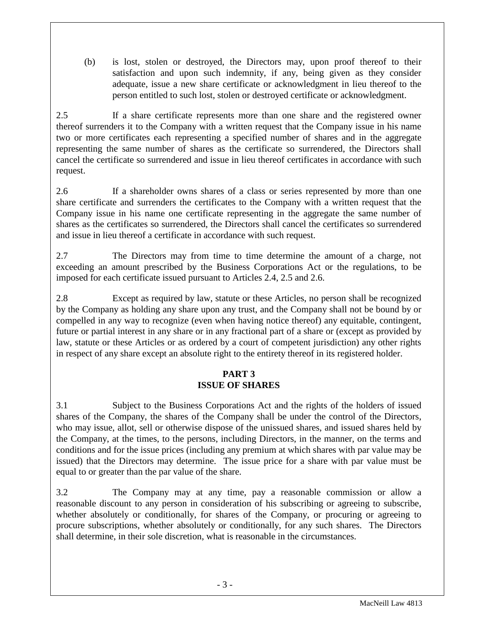(b) is lost, stolen or destroyed, the Directors may, upon proof thereof to their satisfaction and upon such indemnity, if any, being given as they consider adequate, issue a new share certificate or acknowledgment in lieu thereof to the person entitled to such lost, stolen or destroyed certificate or acknowledgment.

2.5 If a share certificate represents more than one share and the registered owner thereof surrenders it to the Company with a written request that the Company issue in his name two or more certificates each representing a specified number of shares and in the aggregate representing the same number of shares as the certificate so surrendered, the Directors shall cancel the certificate so surrendered and issue in lieu thereof certificates in accordance with such request.

2.6 If a shareholder owns shares of a class or series represented by more than one share certificate and surrenders the certificates to the Company with a written request that the Company issue in his name one certificate representing in the aggregate the same number of shares as the certificates so surrendered, the Directors shall cancel the certificates so surrendered and issue in lieu thereof a certificate in accordance with such request.

2.7 The Directors may from time to time determine the amount of a charge, not exceeding an amount prescribed by the Business Corporations Act or the regulations, to be imposed for each certificate issued pursuant to Articles 2.4, 2.5 and 2.6.

2.8 Except as required by law, statute or these Articles, no person shall be recognized by the Company as holding any share upon any trust, and the Company shall not be bound by or compelled in any way to recognize (even when having notice thereof) any equitable, contingent, future or partial interest in any share or in any fractional part of a share or (except as provided by law, statute or these Articles or as ordered by a court of competent jurisdiction) any other rights in respect of any share except an absolute right to the entirety thereof in its registered holder.

## **PART 3 ISSUE OF SHARES**

<span id="page-3-0"></span>3.1 Subject to the Business Corporations Act and the rights of the holders of issued shares of the Company, the shares of the Company shall be under the control of the Directors, who may issue, allot, sell or otherwise dispose of the unissued shares, and issued shares held by the Company, at the times, to the persons, including Directors, in the manner, on the terms and conditions and for the issue prices (including any premium at which shares with par value may be issued) that the Directors may determine. The issue price for a share with par value must be equal to or greater than the par value of the share.

3.2 The Company may at any time, pay a reasonable commission or allow a reasonable discount to any person in consideration of his subscribing or agreeing to subscribe, whether absolutely or conditionally, for shares of the Company, or procuring or agreeing to procure subscriptions, whether absolutely or conditionally, for any such shares. The Directors shall determine, in their sole discretion, what is reasonable in the circumstances.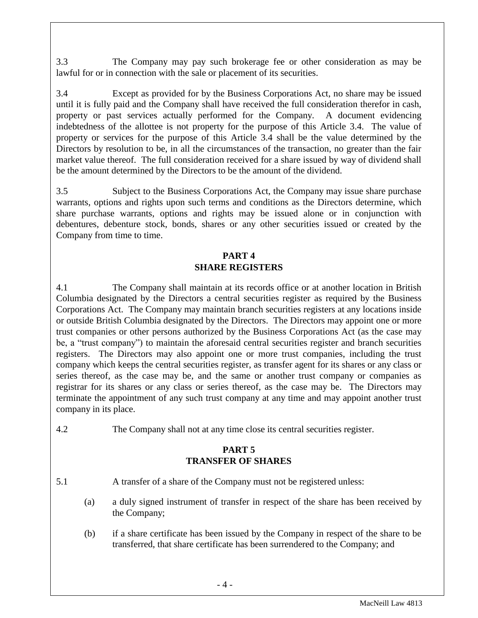3.3 The Company may pay such brokerage fee or other consideration as may be lawful for or in connection with the sale or placement of its securities.

3.4 Except as provided for by the Business Corporations Act, no share may be issued until it is fully paid and the Company shall have received the full consideration therefor in cash, property or past services actually performed for the Company. A document evidencing indebtedness of the allottee is not property for the purpose of this Article 3.4. The value of property or services for the purpose of this Article 3.4 shall be the value determined by the Directors by resolution to be, in all the circumstances of the transaction, no greater than the fair market value thereof. The full consideration received for a share issued by way of dividend shall be the amount determined by the Directors to be the amount of the dividend.

3.5 Subject to the Business Corporations Act, the Company may issue share purchase warrants, options and rights upon such terms and conditions as the Directors determine, which share purchase warrants, options and rights may be issued alone or in conjunction with debentures, debenture stock, bonds, shares or any other securities issued or created by the Company from time to time.

### **PART 4 SHARE REGISTERS**

<span id="page-4-0"></span>4.1 The Company shall maintain at its records office or at another location in British Columbia designated by the Directors a central securities register as required by the Business Corporations Act. The Company may maintain branch securities registers at any locations inside or outside British Columbia designated by the Directors. The Directors may appoint one or more trust companies or other persons authorized by the Business Corporations Act (as the case may be, a "trust company") to maintain the aforesaid central securities register and branch securities registers. The Directors may also appoint one or more trust companies, including the trust company which keeps the central securities register, as transfer agent for its shares or any class or series thereof, as the case may be, and the same or another trust company or companies as registrar for its shares or any class or series thereof, as the case may be. The Directors may terminate the appointment of any such trust company at any time and may appoint another trust company in its place.

4.2 The Company shall not at any time close its central securities register.

### **PART 5 TRANSFER OF SHARES**

- <span id="page-4-1"></span>5.1 A transfer of a share of the Company must not be registered unless:
	- (a) a duly signed instrument of transfer in respect of the share has been received by the Company;
	- (b) if a share certificate has been issued by the Company in respect of the share to be transferred, that share certificate has been surrendered to the Company; and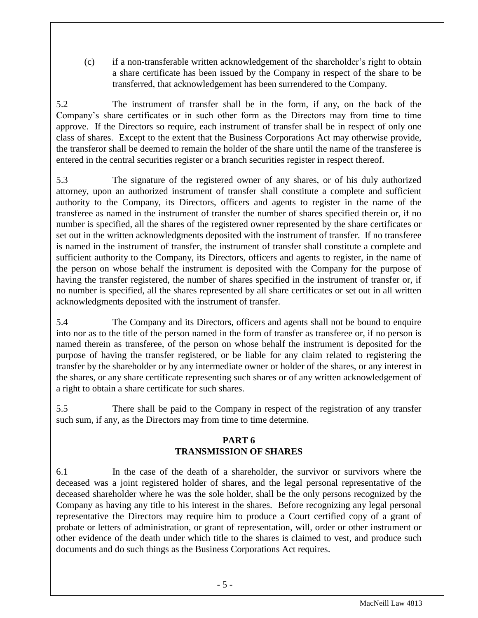(c) if a non-transferable written acknowledgement of the shareholder's right to obtain a share certificate has been issued by the Company in respect of the share to be transferred, that acknowledgement has been surrendered to the Company.

5.2 The instrument of transfer shall be in the form, if any, on the back of the Company's share certificates or in such other form as the Directors may from time to time approve. If the Directors so require, each instrument of transfer shall be in respect of only one class of shares. Except to the extent that the Business Corporations Act may otherwise provide, the transferor shall be deemed to remain the holder of the share until the name of the transferee is entered in the central securities register or a branch securities register in respect thereof.

5.3 The signature of the registered owner of any shares, or of his duly authorized attorney, upon an authorized instrument of transfer shall constitute a complete and sufficient authority to the Company, its Directors, officers and agents to register in the name of the transferee as named in the instrument of transfer the number of shares specified therein or, if no number is specified, all the shares of the registered owner represented by the share certificates or set out in the written acknowledgments deposited with the instrument of transfer. If no transferee is named in the instrument of transfer, the instrument of transfer shall constitute a complete and sufficient authority to the Company, its Directors, officers and agents to register, in the name of the person on whose behalf the instrument is deposited with the Company for the purpose of having the transfer registered, the number of shares specified in the instrument of transfer or, if no number is specified, all the shares represented by all share certificates or set out in all written acknowledgments deposited with the instrument of transfer.

5.4 The Company and its Directors, officers and agents shall not be bound to enquire into nor as to the title of the person named in the form of transfer as transferee or, if no person is named therein as transferee, of the person on whose behalf the instrument is deposited for the purpose of having the transfer registered, or be liable for any claim related to registering the transfer by the shareholder or by any intermediate owner or holder of the shares, or any interest in the shares, or any share certificate representing such shares or of any written acknowledgement of a right to obtain a share certificate for such shares.

5.5 There shall be paid to the Company in respect of the registration of any transfer such sum, if any, as the Directors may from time to time determine.

## **PART 6 TRANSMISSION OF SHARES**

<span id="page-5-0"></span>6.1 In the case of the death of a shareholder, the survivor or survivors where the deceased was a joint registered holder of shares, and the legal personal representative of the deceased shareholder where he was the sole holder, shall be the only persons recognized by the Company as having any title to his interest in the shares. Before recognizing any legal personal representative the Directors may require him to produce a Court certified copy of a grant of probate or letters of administration, or grant of representation, will, order or other instrument or other evidence of the death under which title to the shares is claimed to vest, and produce such documents and do such things as the Business Corporations Act requires.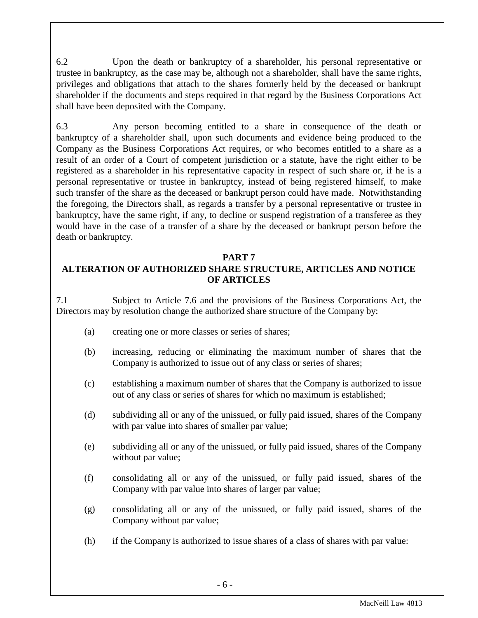6.2 Upon the death or bankruptcy of a shareholder, his personal representative or trustee in bankruptcy, as the case may be, although not a shareholder, shall have the same rights, privileges and obligations that attach to the shares formerly held by the deceased or bankrupt shareholder if the documents and steps required in that regard by the Business Corporations Act shall have been deposited with the Company.

6.3 Any person becoming entitled to a share in consequence of the death or bankruptcy of a shareholder shall, upon such documents and evidence being produced to the Company as the Business Corporations Act requires, or who becomes entitled to a share as a result of an order of a Court of competent jurisdiction or a statute, have the right either to be registered as a shareholder in his representative capacity in respect of such share or, if he is a personal representative or trustee in bankruptcy, instead of being registered himself, to make such transfer of the share as the deceased or bankrupt person could have made. Notwithstanding the foregoing, the Directors shall, as regards a transfer by a personal representative or trustee in bankruptcy, have the same right, if any, to decline or suspend registration of a transferee as they would have in the case of a transfer of a share by the deceased or bankrupt person before the death or bankruptcy.

### **PART 7**

## <span id="page-6-0"></span>**ALTERATION OF AUTHORIZED SHARE STRUCTURE, ARTICLES AND NOTICE OF ARTICLES**

7.1 Subject to Article 7.6 and the provisions of the Business Corporations Act, the Directors may by resolution change the authorized share structure of the Company by:

- (a) creating one or more classes or series of shares;
- (b) increasing, reducing or eliminating the maximum number of shares that the Company is authorized to issue out of any class or series of shares;
- (c) establishing a maximum number of shares that the Company is authorized to issue out of any class or series of shares for which no maximum is established;
- (d) subdividing all or any of the unissued, or fully paid issued, shares of the Company with par value into shares of smaller par value;
- (e) subdividing all or any of the unissued, or fully paid issued, shares of the Company without par value;
- (f) consolidating all or any of the unissued, or fully paid issued, shares of the Company with par value into shares of larger par value;
- (g) consolidating all or any of the unissued, or fully paid issued, shares of the Company without par value;
- (h) if the Company is authorized to issue shares of a class of shares with par value: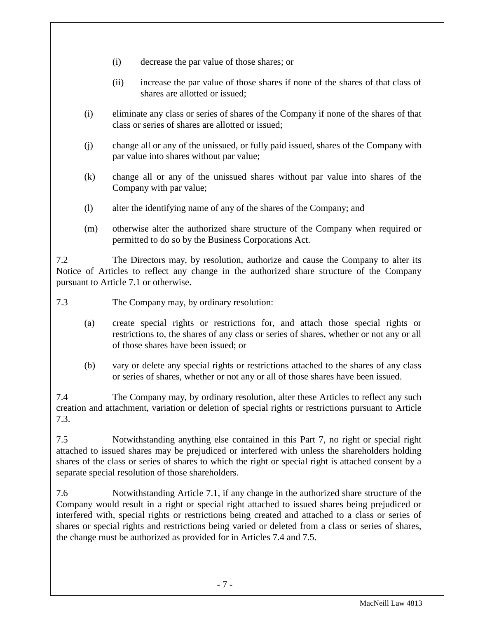- (i) decrease the par value of those shares; or
- (ii) increase the par value of those shares if none of the shares of that class of shares are allotted or issued;
- (i) eliminate any class or series of shares of the Company if none of the shares of that class or series of shares are allotted or issued;
- (j) change all or any of the unissued, or fully paid issued, shares of the Company with par value into shares without par value;
- (k) change all or any of the unissued shares without par value into shares of the Company with par value;
- (l) alter the identifying name of any of the shares of the Company; and
- (m) otherwise alter the authorized share structure of the Company when required or permitted to do so by the Business Corporations Act.

7.2 The Directors may, by resolution, authorize and cause the Company to alter its Notice of Articles to reflect any change in the authorized share structure of the Company pursuant to Article 7.1 or otherwise.

7.3 The Company may, by ordinary resolution:

- (a) create special rights or restrictions for, and attach those special rights or restrictions to, the shares of any class or series of shares, whether or not any or all of those shares have been issued; or
- (b) vary or delete any special rights or restrictions attached to the shares of any class or series of shares, whether or not any or all of those shares have been issued.

7.4 The Company may, by ordinary resolution, alter these Articles to reflect any such creation and attachment, variation or deletion of special rights or restrictions pursuant to Article 7.3.

7.5 Notwithstanding anything else contained in this Part 7, no right or special right attached to issued shares may be prejudiced or interfered with unless the shareholders holding shares of the class or series of shares to which the right or special right is attached consent by a separate special resolution of those shareholders.

7.6 Notwithstanding Article 7.1, if any change in the authorized share structure of the Company would result in a right or special right attached to issued shares being prejudiced or interfered with, special rights or restrictions being created and attached to a class or series of shares or special rights and restrictions being varied or deleted from a class or series of shares, the change must be authorized as provided for in Articles 7.4 and 7.5.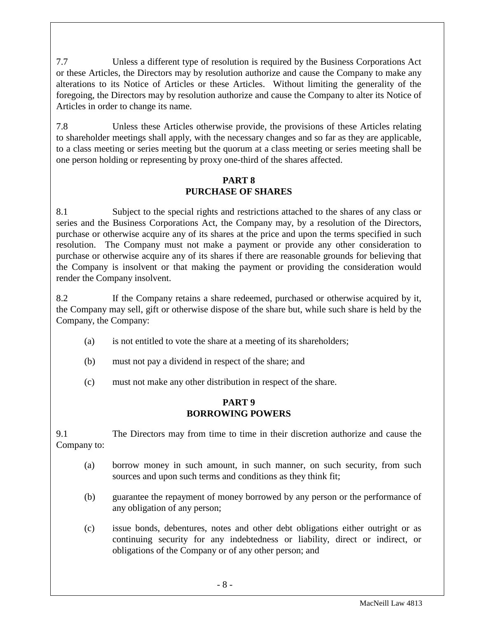7.7 Unless a different type of resolution is required by the Business Corporations Act or these Articles, the Directors may by resolution authorize and cause the Company to make any alterations to its Notice of Articles or these Articles. Without limiting the generality of the foregoing, the Directors may by resolution authorize and cause the Company to alter its Notice of Articles in order to change its name.

7.8 Unless these Articles otherwise provide, the provisions of these Articles relating to shareholder meetings shall apply, with the necessary changes and so far as they are applicable, to a class meeting or series meeting but the quorum at a class meeting or series meeting shall be one person holding or representing by proxy one-third of the shares affected.

## **PART 8 PURCHASE OF SHARES**

<span id="page-8-0"></span>8.1 Subject to the special rights and restrictions attached to the shares of any class or series and the Business Corporations Act, the Company may, by a resolution of the Directors, purchase or otherwise acquire any of its shares at the price and upon the terms specified in such resolution. The Company must not make a payment or provide any other consideration to purchase or otherwise acquire any of its shares if there are reasonable grounds for believing that the Company is insolvent or that making the payment or providing the consideration would render the Company insolvent.

8.2 If the Company retains a share redeemed, purchased or otherwise acquired by it, the Company may sell, gift or otherwise dispose of the share but, while such share is held by the Company, the Company:

- (a) is not entitled to vote the share at a meeting of its shareholders;
- (b) must not pay a dividend in respect of the share; and
- (c) must not make any other distribution in respect of the share.

#### **PART 9 BORROWING POWERS**

<span id="page-8-1"></span>9.1 The Directors may from time to time in their discretion authorize and cause the Company to:

- (a) borrow money in such amount, in such manner, on such security, from such sources and upon such terms and conditions as they think fit;
- (b) guarantee the repayment of money borrowed by any person or the performance of any obligation of any person;
- (c) issue bonds, debentures, notes and other debt obligations either outright or as continuing security for any indebtedness or liability, direct or indirect, or obligations of the Company or of any other person; and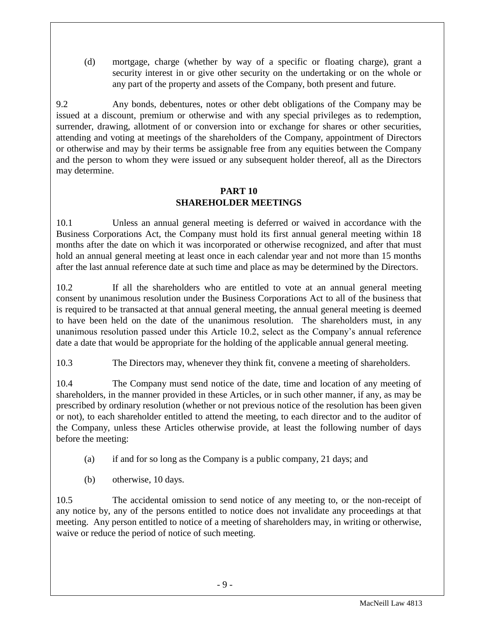(d) mortgage, charge (whether by way of a specific or floating charge), grant a security interest in or give other security on the undertaking or on the whole or any part of the property and assets of the Company, both present and future.

9.2 Any bonds, debentures, notes or other debt obligations of the Company may be issued at a discount, premium or otherwise and with any special privileges as to redemption, surrender, drawing, allotment of or conversion into or exchange for shares or other securities, attending and voting at meetings of the shareholders of the Company, appointment of Directors or otherwise and may by their terms be assignable free from any equities between the Company and the person to whom they were issued or any subsequent holder thereof, all as the Directors may determine.

### **PART 10 SHAREHOLDER MEETINGS**

<span id="page-9-0"></span>10.1 Unless an annual general meeting is deferred or waived in accordance with the Business Corporations Act, the Company must hold its first annual general meeting within 18 months after the date on which it was incorporated or otherwise recognized, and after that must hold an annual general meeting at least once in each calendar year and not more than 15 months after the last annual reference date at such time and place as may be determined by the Directors.

10.2 If all the shareholders who are entitled to vote at an annual general meeting consent by unanimous resolution under the Business Corporations Act to all of the business that is required to be transacted at that annual general meeting, the annual general meeting is deemed to have been held on the date of the unanimous resolution. The shareholders must, in any unanimous resolution passed under this Article 10.2, select as the Company's annual reference date a date that would be appropriate for the holding of the applicable annual general meeting.

10.3 The Directors may, whenever they think fit, convene a meeting of shareholders.

10.4 The Company must send notice of the date, time and location of any meeting of shareholders, in the manner provided in these Articles, or in such other manner, if any, as may be prescribed by ordinary resolution (whether or not previous notice of the resolution has been given or not), to each shareholder entitled to attend the meeting, to each director and to the auditor of the Company, unless these Articles otherwise provide, at least the following number of days before the meeting:

- (a) if and for so long as the Company is a public company, 21 days; and
- (b) otherwise, 10 days.

10.5 The accidental omission to send notice of any meeting to, or the non-receipt of any notice by, any of the persons entitled to notice does not invalidate any proceedings at that meeting. Any person entitled to notice of a meeting of shareholders may, in writing or otherwise, waive or reduce the period of notice of such meeting.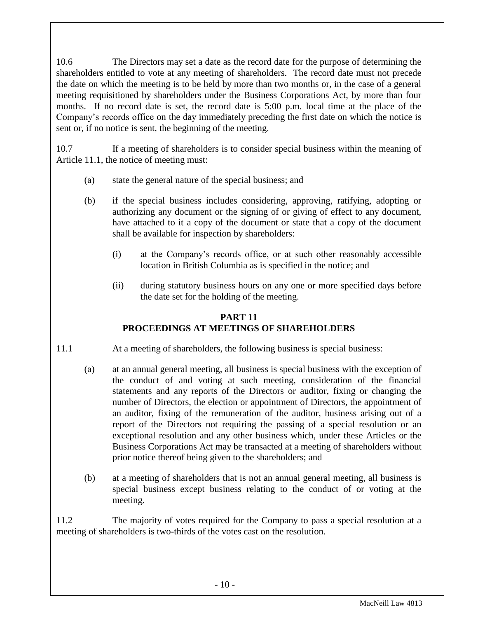10.6 The Directors may set a date as the record date for the purpose of determining the shareholders entitled to vote at any meeting of shareholders. The record date must not precede the date on which the meeting is to be held by more than two months or, in the case of a general meeting requisitioned by shareholders under the Business Corporations Act, by more than four months. If no record date is set, the record date is 5:00 p.m. local time at the place of the Company's records office on the day immediately preceding the first date on which the notice is sent or, if no notice is sent, the beginning of the meeting.

10.7 If a meeting of shareholders is to consider special business within the meaning of Article 11.1, the notice of meeting must:

- (a) state the general nature of the special business; and
- (b) if the special business includes considering, approving, ratifying, adopting or authorizing any document or the signing of or giving of effect to any document, have attached to it a copy of the document or state that a copy of the document shall be available for inspection by shareholders:
	- (i) at the Company's records office, or at such other reasonably accessible location in British Columbia as is specified in the notice; and
	- (ii) during statutory business hours on any one or more specified days before the date set for the holding of the meeting.

## **PART 11 PROCEEDINGS AT MEETINGS OF SHAREHOLDERS**

- <span id="page-10-0"></span>11.1 At a meeting of shareholders, the following business is special business:
	- (a) at an annual general meeting, all business is special business with the exception of the conduct of and voting at such meeting, consideration of the financial statements and any reports of the Directors or auditor, fixing or changing the number of Directors, the election or appointment of Directors, the appointment of an auditor, fixing of the remuneration of the auditor, business arising out of a report of the Directors not requiring the passing of a special resolution or an exceptional resolution and any other business which, under these Articles or the Business Corporations Act may be transacted at a meeting of shareholders without prior notice thereof being given to the shareholders; and
	- (b) at a meeting of shareholders that is not an annual general meeting, all business is special business except business relating to the conduct of or voting at the meeting.

11.2 The majority of votes required for the Company to pass a special resolution at a meeting of shareholders is two-thirds of the votes cast on the resolution.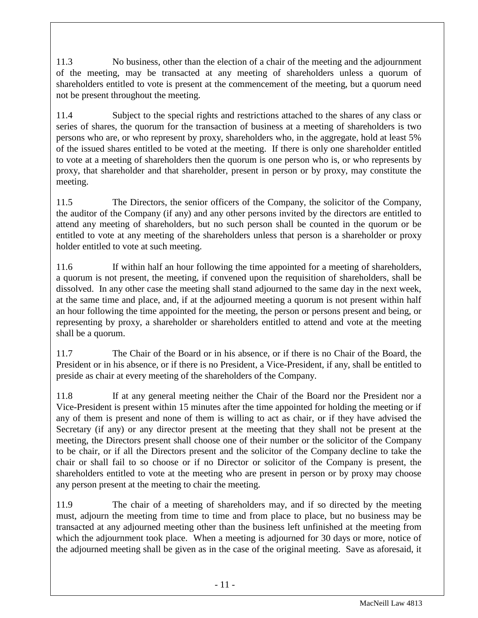11.3 No business, other than the election of a chair of the meeting and the adjournment of the meeting, may be transacted at any meeting of shareholders unless a quorum of shareholders entitled to vote is present at the commencement of the meeting, but a quorum need not be present throughout the meeting.

11.4 Subject to the special rights and restrictions attached to the shares of any class or series of shares, the quorum for the transaction of business at a meeting of shareholders is two persons who are, or who represent by proxy, shareholders who, in the aggregate, hold at least 5% of the issued shares entitled to be voted at the meeting. If there is only one shareholder entitled to vote at a meeting of shareholders then the quorum is one person who is, or who represents by proxy, that shareholder and that shareholder, present in person or by proxy, may constitute the meeting.

11.5 The Directors, the senior officers of the Company, the solicitor of the Company, the auditor of the Company (if any) and any other persons invited by the directors are entitled to attend any meeting of shareholders, but no such person shall be counted in the quorum or be entitled to vote at any meeting of the shareholders unless that person is a shareholder or proxy holder entitled to vote at such meeting.

11.6 If within half an hour following the time appointed for a meeting of shareholders, a quorum is not present, the meeting, if convened upon the requisition of shareholders, shall be dissolved. In any other case the meeting shall stand adjourned to the same day in the next week, at the same time and place, and, if at the adjourned meeting a quorum is not present within half an hour following the time appointed for the meeting, the person or persons present and being, or representing by proxy, a shareholder or shareholders entitled to attend and vote at the meeting shall be a quorum.

11.7 The Chair of the Board or in his absence, or if there is no Chair of the Board, the President or in his absence, or if there is no President, a Vice-President, if any, shall be entitled to preside as chair at every meeting of the shareholders of the Company.

11.8 If at any general meeting neither the Chair of the Board nor the President nor a Vice-President is present within 15 minutes after the time appointed for holding the meeting or if any of them is present and none of them is willing to act as chair, or if they have advised the Secretary (if any) or any director present at the meeting that they shall not be present at the meeting, the Directors present shall choose one of their number or the solicitor of the Company to be chair, or if all the Directors present and the solicitor of the Company decline to take the chair or shall fail to so choose or if no Director or solicitor of the Company is present, the shareholders entitled to vote at the meeting who are present in person or by proxy may choose any person present at the meeting to chair the meeting.

11.9 The chair of a meeting of shareholders may, and if so directed by the meeting must, adjourn the meeting from time to time and from place to place, but no business may be transacted at any adjourned meeting other than the business left unfinished at the meeting from which the adjournment took place. When a meeting is adjourned for 30 days or more, notice of the adjourned meeting shall be given as in the case of the original meeting. Save as aforesaid, it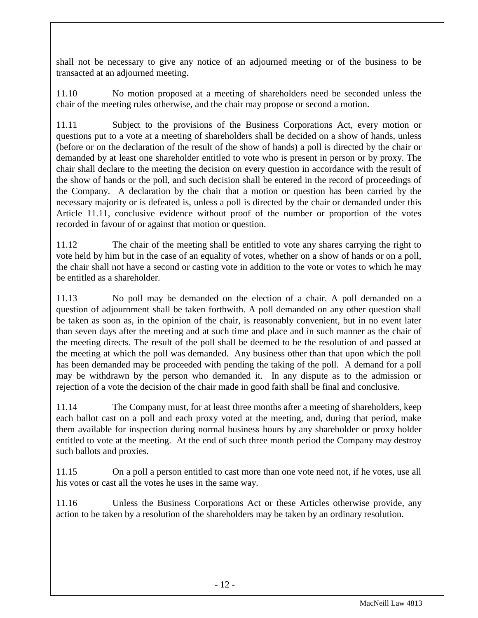shall not be necessary to give any notice of an adjourned meeting or of the business to be transacted at an adjourned meeting.

11.10 No motion proposed at a meeting of shareholders need be seconded unless the chair of the meeting rules otherwise, and the chair may propose or second a motion.

11.11 Subject to the provisions of the Business Corporations Act, every motion or questions put to a vote at a meeting of shareholders shall be decided on a show of hands, unless (before or on the declaration of the result of the show of hands) a poll is directed by the chair or demanded by at least one shareholder entitled to vote who is present in person or by proxy. The chair shall declare to the meeting the decision on every question in accordance with the result of the show of hands or the poll, and such decision shall be entered in the record of proceedings of the Company. A declaration by the chair that a motion or question has been carried by the necessary majority or is defeated is, unless a poll is directed by the chair or demanded under this Article 11.11, conclusive evidence without proof of the number or proportion of the votes recorded in favour of or against that motion or question.

11.12 The chair of the meeting shall be entitled to vote any shares carrying the right to vote held by him but in the case of an equality of votes, whether on a show of hands or on a poll, the chair shall not have a second or casting vote in addition to the vote or votes to which he may be entitled as a shareholder.

11.13 No poll may be demanded on the election of a chair. A poll demanded on a question of adjournment shall be taken forthwith. A poll demanded on any other question shall be taken as soon as, in the opinion of the chair, is reasonably convenient, but in no event later than seven days after the meeting and at such time and place and in such manner as the chair of the meeting directs. The result of the poll shall be deemed to be the resolution of and passed at the meeting at which the poll was demanded. Any business other than that upon which the poll has been demanded may be proceeded with pending the taking of the poll. A demand for a poll may be withdrawn by the person who demanded it. In any dispute as to the admission or rejection of a vote the decision of the chair made in good faith shall be final and conclusive.

11.14 The Company must, for at least three months after a meeting of shareholders, keep each ballot cast on a poll and each proxy voted at the meeting, and, during that period, make them available for inspection during normal business hours by any shareholder or proxy holder entitled to vote at the meeting. At the end of such three month period the Company may destroy such ballots and proxies.

11.15 On a poll a person entitled to cast more than one vote need not, if he votes, use all his votes or cast all the votes he uses in the same way.

11.16 Unless the Business Corporations Act or these Articles otherwise provide, any action to be taken by a resolution of the shareholders may be taken by an ordinary resolution.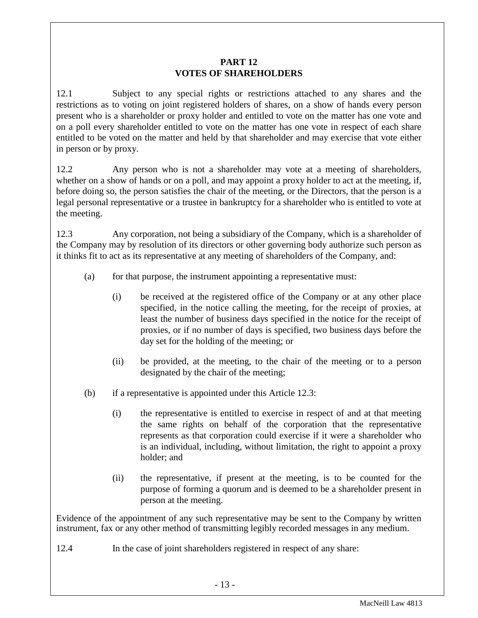### **PART 12 VOTES OF SHAREHOLDERS**

<span id="page-13-0"></span>12.1 Subject to any special rights or restrictions attached to any shares and the restrictions as to voting on joint registered holders of shares, on a show of hands every person present who is a shareholder or proxy holder and entitled to vote on the matter has one vote and on a poll every shareholder entitled to vote on the matter has one vote in respect of each share entitled to be voted on the matter and held by that shareholder and may exercise that vote either in person or by proxy.

12.2 Any person who is not a shareholder may vote at a meeting of shareholders, whether on a show of hands or on a poll, and may appoint a proxy holder to act at the meeting, if, before doing so, the person satisfies the chair of the meeting, or the Directors, that the person is a legal personal representative or a trustee in bankruptcy for a shareholder who is entitled to vote at the meeting.

12.3 Any corporation, not being a subsidiary of the Company, which is a shareholder of the Company may by resolution of its directors or other governing body authorize such person as it thinks fit to act as its representative at any meeting of shareholders of the Company, and:

- (a) for that purpose, the instrument appointing a representative must:
	- (i) be received at the registered office of the Company or at any other place specified, in the notice calling the meeting, for the receipt of proxies, at least the number of business days specified in the notice for the receipt of proxies, or if no number of days is specified, two business days before the day set for the holding of the meeting; or
	- (ii) be provided, at the meeting, to the chair of the meeting or to a person designated by the chair of the meeting;
- (b) if a representative is appointed under this Article 12.3:
	- (i) the representative is entitled to exercise in respect of and at that meeting the same rights on behalf of the corporation that the representative represents as that corporation could exercise if it were a shareholder who is an individual, including, without limitation, the right to appoint a proxy holder; and
	- (ii) the representative, if present at the meeting, is to be counted for the purpose of forming a quorum and is deemed to be a shareholder present in person at the meeting.

Evidence of the appointment of any such representative may be sent to the Company by written instrument, fax or any other method of transmitting legibly recorded messages in any medium.

12.4 In the case of joint shareholders registered in respect of any share: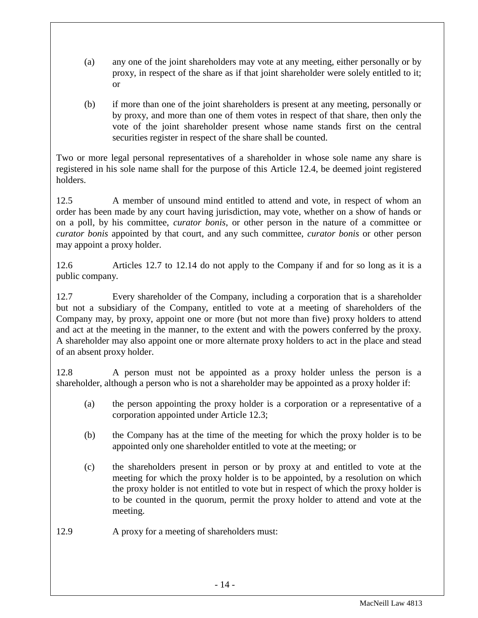- (a) any one of the joint shareholders may vote at any meeting, either personally or by proxy, in respect of the share as if that joint shareholder were solely entitled to it; or
- (b) if more than one of the joint shareholders is present at any meeting, personally or by proxy, and more than one of them votes in respect of that share, then only the vote of the joint shareholder present whose name stands first on the central securities register in respect of the share shall be counted.

Two or more legal personal representatives of a shareholder in whose sole name any share is registered in his sole name shall for the purpose of this Article 12.4, be deemed joint registered holders.

12.5 A member of unsound mind entitled to attend and vote, in respect of whom an order has been made by any court having jurisdiction, may vote, whether on a show of hands or on a poll, by his committee, *curator bonis*, or other person in the nature of a committee or *curator bonis* appointed by that court, and any such committee, *curator bonis* or other person may appoint a proxy holder.

12.6 Articles 12.7 to 12.14 do not apply to the Company if and for so long as it is a public company.

12.7 Every shareholder of the Company, including a corporation that is a shareholder but not a subsidiary of the Company, entitled to vote at a meeting of shareholders of the Company may, by proxy, appoint one or more (but not more than five) proxy holders to attend and act at the meeting in the manner, to the extent and with the powers conferred by the proxy. A shareholder may also appoint one or more alternate proxy holders to act in the place and stead of an absent proxy holder.

12.8 A person must not be appointed as a proxy holder unless the person is a shareholder, although a person who is not a shareholder may be appointed as a proxy holder if:

- (a) the person appointing the proxy holder is a corporation or a representative of a corporation appointed under Article 12.3;
- (b) the Company has at the time of the meeting for which the proxy holder is to be appointed only one shareholder entitled to vote at the meeting; or
- (c) the shareholders present in person or by proxy at and entitled to vote at the meeting for which the proxy holder is to be appointed, by a resolution on which the proxy holder is not entitled to vote but in respect of which the proxy holder is to be counted in the quorum, permit the proxy holder to attend and vote at the meeting.

12.9 A proxy for a meeting of shareholders must: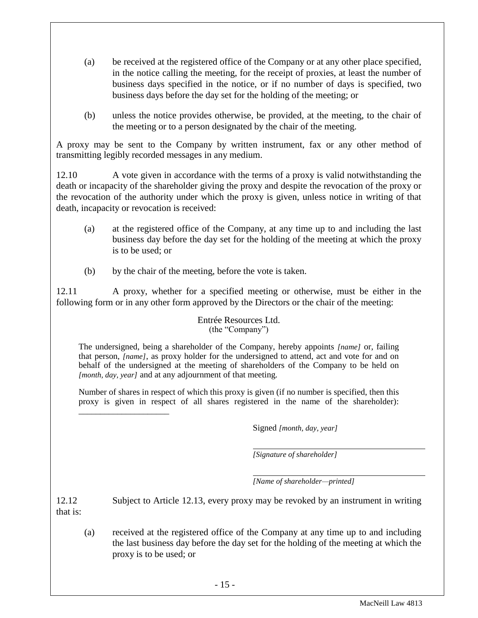- (a) be received at the registered office of the Company or at any other place specified, in the notice calling the meeting, for the receipt of proxies, at least the number of business days specified in the notice, or if no number of days is specified, two business days before the day set for the holding of the meeting; or
- (b) unless the notice provides otherwise, be provided, at the meeting, to the chair of the meeting or to a person designated by the chair of the meeting.

A proxy may be sent to the Company by written instrument, fax or any other method of transmitting legibly recorded messages in any medium.

12.10 A vote given in accordance with the terms of a proxy is valid notwithstanding the death or incapacity of the shareholder giving the proxy and despite the revocation of the proxy or the revocation of the authority under which the proxy is given, unless notice in writing of that death, incapacity or revocation is received:

- (a) at the registered office of the Company, at any time up to and including the last business day before the day set for the holding of the meeting at which the proxy is to be used; or
- (b) by the chair of the meeting, before the vote is taken.

12.11 A proxy, whether for a specified meeting or otherwise, must be either in the following form or in any other form approved by the Directors or the chair of the meeting:

#### Entrée Resources Ltd. (the "Company")

The undersigned, being a shareholder of the Company, hereby appoints *[name]* or, failing that person, *[name]*, as proxy holder for the undersigned to attend, act and vote for and on behalf of the undersigned at the meeting of shareholders of the Company to be held on *[month, day, year]* and at any adjournment of that meeting.

Number of shares in respect of which this proxy is given (if no number is specified, then this proxy is given in respect of all shares registered in the name of the shareholder): \_\_\_\_\_\_\_\_\_\_\_\_\_\_\_\_\_\_\_\_\_

Signed *[month, day, year]*

*[Signature of shareholder]*

*[Name of shareholder—printed]*

12.12 Subject to Article 12.13, every proxy may be revoked by an instrument in writing that is:

(a) received at the registered office of the Company at any time up to and including the last business day before the day set for the holding of the meeting at which the proxy is to be used; or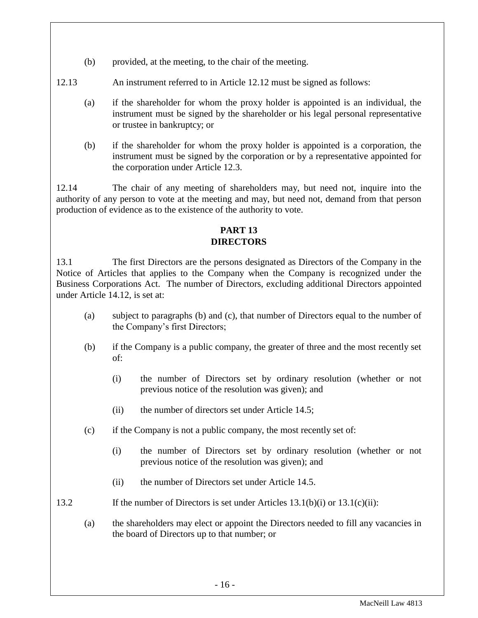- (b) provided, at the meeting, to the chair of the meeting.
- 12.13 An instrument referred to in Article 12.12 must be signed as follows:
	- (a) if the shareholder for whom the proxy holder is appointed is an individual, the instrument must be signed by the shareholder or his legal personal representative or trustee in bankruptcy; or
	- (b) if the shareholder for whom the proxy holder is appointed is a corporation, the instrument must be signed by the corporation or by a representative appointed for the corporation under Article 12.3.

12.14 The chair of any meeting of shareholders may, but need not, inquire into the authority of any person to vote at the meeting and may, but need not, demand from that person production of evidence as to the existence of the authority to vote.

## **PART 13 DIRECTORS**

<span id="page-16-0"></span>13.1 The first Directors are the persons designated as Directors of the Company in the Notice of Articles that applies to the Company when the Company is recognized under the Business Corporations Act. The number of Directors, excluding additional Directors appointed under Article 14.12, is set at:

- (a) subject to paragraphs (b) and (c), that number of Directors equal to the number of the Company's first Directors;
- (b) if the Company is a public company, the greater of three and the most recently set of:
	- (i) the number of Directors set by ordinary resolution (whether or not previous notice of the resolution was given); and
	- (ii) the number of directors set under Article 14.5;
- (c) if the Company is not a public company, the most recently set of:
	- (i) the number of Directors set by ordinary resolution (whether or not previous notice of the resolution was given); and
	- (ii) the number of Directors set under Article 14.5.
- 13.2 If the number of Directors is set under Articles 13.1(b)(i) or 13.1(c)(ii):

(a) the shareholders may elect or appoint the Directors needed to fill any vacancies in the board of Directors up to that number; or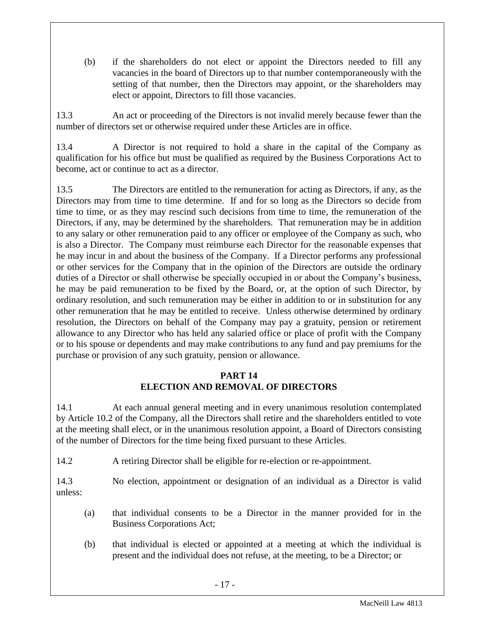(b) if the shareholders do not elect or appoint the Directors needed to fill any vacancies in the board of Directors up to that number contemporaneously with the setting of that number, then the Directors may appoint, or the shareholders may elect or appoint, Directors to fill those vacancies.

13.3 An act or proceeding of the Directors is not invalid merely because fewer than the number of directors set or otherwise required under these Articles are in office.

13.4 A Director is not required to hold a share in the capital of the Company as qualification for his office but must be qualified as required by the Business Corporations Act to become, act or continue to act as a director.

13.5 The Directors are entitled to the remuneration for acting as Directors, if any, as the Directors may from time to time determine. If and for so long as the Directors so decide from time to time, or as they may rescind such decisions from time to time, the remuneration of the Directors, if any, may be determined by the shareholders. That remuneration may be in addition to any salary or other remuneration paid to any officer or employee of the Company as such, who is also a Director. The Company must reimburse each Director for the reasonable expenses that he may incur in and about the business of the Company. If a Director performs any professional or other services for the Company that in the opinion of the Directors are outside the ordinary duties of a Director or shall otherwise be specially occupied in or about the Company's business, he may be paid remuneration to be fixed by the Board, or, at the option of such Director, by ordinary resolution, and such remuneration may be either in addition to or in substitution for any other remuneration that he may be entitled to receive. Unless otherwise determined by ordinary resolution, the Directors on behalf of the Company may pay a gratuity, pension or retirement allowance to any Director who has held any salaried office or place of profit with the Company or to his spouse or dependents and may make contributions to any fund and pay premiums for the purchase or provision of any such gratuity, pension or allowance.

## **PART 14 ELECTION AND REMOVAL OF DIRECTORS**

<span id="page-17-0"></span>14.1 At each annual general meeting and in every unanimous resolution contemplated by Article 10.2 of the Company, all the Directors shall retire and the shareholders entitled to vote at the meeting shall elect, or in the unanimous resolution appoint, a Board of Directors consisting of the number of Directors for the time being fixed pursuant to these Articles.

14.2 A retiring Director shall be eligible for re-election or re-appointment.

14.3 No election, appointment or designation of an individual as a Director is valid unless:

- (a) that individual consents to be a Director in the manner provided for in the Business Corporations Act;
- (b) that individual is elected or appointed at a meeting at which the individual is present and the individual does not refuse, at the meeting, to be a Director; or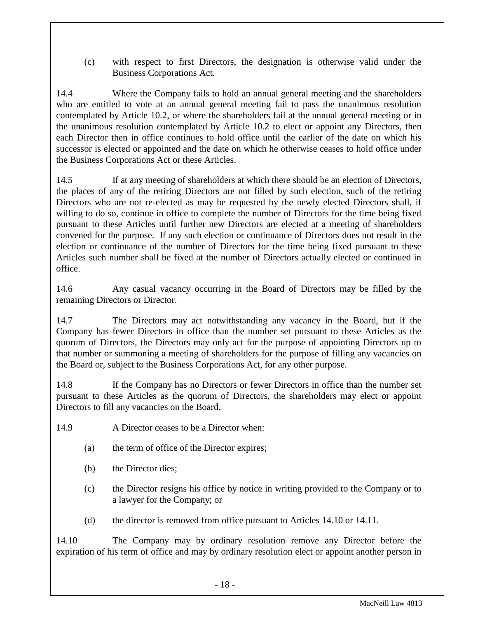(c) with respect to first Directors, the designation is otherwise valid under the Business Corporations Act.

14.4 Where the Company fails to hold an annual general meeting and the shareholders who are entitled to vote at an annual general meeting fail to pass the unanimous resolution contemplated by Article 10.2, or where the shareholders fail at the annual general meeting or in the unanimous resolution contemplated by Article 10.2 to elect or appoint any Directors, then each Director then in office continues to hold office until the earlier of the date on which his successor is elected or appointed and the date on which he otherwise ceases to hold office under the Business Corporations Act or these Articles.

14.5 If at any meeting of shareholders at which there should be an election of Directors, the places of any of the retiring Directors are not filled by such election, such of the retiring Directors who are not re-elected as may be requested by the newly elected Directors shall, if willing to do so, continue in office to complete the number of Directors for the time being fixed pursuant to these Articles until further new Directors are elected at a meeting of shareholders convened for the purpose. If any such election or continuance of Directors does not result in the election or continuance of the number of Directors for the time being fixed pursuant to these Articles such number shall be fixed at the number of Directors actually elected or continued in office.

14.6 Any casual vacancy occurring in the Board of Directors may be filled by the remaining Directors or Director.

14.7 The Directors may act notwithstanding any vacancy in the Board, but if the Company has fewer Directors in office than the number set pursuant to these Articles as the quorum of Directors, the Directors may only act for the purpose of appointing Directors up to that number or summoning a meeting of shareholders for the purpose of filling any vacancies on the Board or, subject to the Business Corporations Act, for any other purpose.

14.8 If the Company has no Directors or fewer Directors in office than the number set pursuant to these Articles as the quorum of Directors, the shareholders may elect or appoint Directors to fill any vacancies on the Board.

14.9 A Director ceases to be a Director when:

- (a) the term of office of the Director expires;
- (b) the Director dies;
- (c) the Director resigns his office by notice in writing provided to the Company or to a lawyer for the Company; or
- (d) the director is removed from office pursuant to Articles 14.10 or 14.11.

14.10 The Company may by ordinary resolution remove any Director before the expiration of his term of office and may by ordinary resolution elect or appoint another person in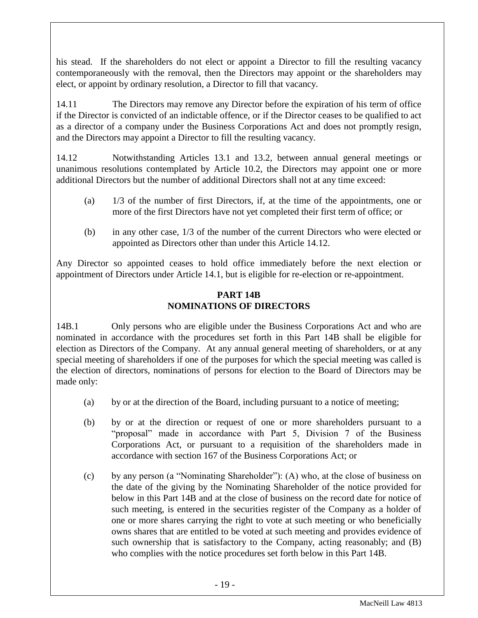his stead. If the shareholders do not elect or appoint a Director to fill the resulting vacancy contemporaneously with the removal, then the Directors may appoint or the shareholders may elect, or appoint by ordinary resolution, a Director to fill that vacancy.

14.11 The Directors may remove any Director before the expiration of his term of office if the Director is convicted of an indictable offence, or if the Director ceases to be qualified to act as a director of a company under the Business Corporations Act and does not promptly resign, and the Directors may appoint a Director to fill the resulting vacancy.

14.12 Notwithstanding Articles 13.1 and 13.2, between annual general meetings or unanimous resolutions contemplated by Article 10.2, the Directors may appoint one or more additional Directors but the number of additional Directors shall not at any time exceed:

- (a) 1/3 of the number of first Directors, if, at the time of the appointments, one or more of the first Directors have not yet completed their first term of office; or
- (b) in any other case, 1/3 of the number of the current Directors who were elected or appointed as Directors other than under this Article 14.12.

<span id="page-19-0"></span>Any Director so appointed ceases to hold office immediately before the next election or appointment of Directors under Article 14.1, but is eligible for re-election or re-appointment.

### **PART 14B NOMINATIONS OF DIRECTORS**

14B.1 Only persons who are eligible under the Business Corporations Act and who are nominated in accordance with the procedures set forth in this Part 14B shall be eligible for election as Directors of the Company. At any annual general meeting of shareholders, or at any special meeting of shareholders if one of the purposes for which the special meeting was called is the election of directors, nominations of persons for election to the Board of Directors may be made only:

- (a) by or at the direction of the Board, including pursuant to a notice of meeting;
- (b) by or at the direction or request of one or more shareholders pursuant to a "proposal" made in accordance with Part 5, Division 7 of the Business Corporations Act, or pursuant to a requisition of the shareholders made in accordance with section 167 of the Business Corporations Act; or
- (c) by any person (a "Nominating Shareholder"): (A) who, at the close of business on the date of the giving by the Nominating Shareholder of the notice provided for below in this Part 14B and at the close of business on the record date for notice of such meeting, is entered in the securities register of the Company as a holder of one or more shares carrying the right to vote at such meeting or who beneficially owns shares that are entitled to be voted at such meeting and provides evidence of such ownership that is satisfactory to the Company, acting reasonably; and (B) who complies with the notice procedures set forth below in this Part 14B.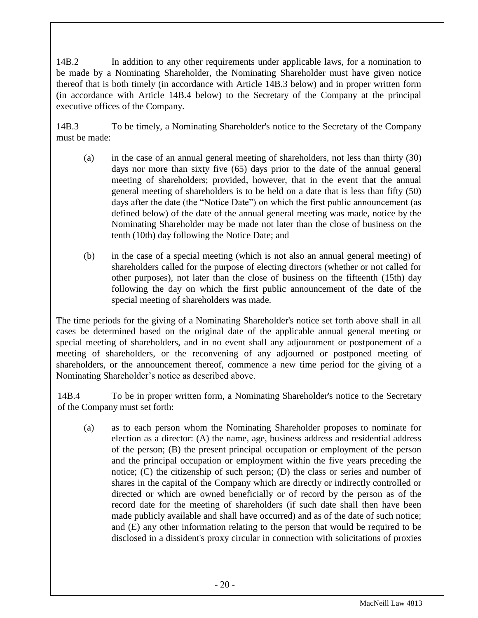14B.2 In addition to any other requirements under applicable laws, for a nomination to be made by a Nominating Shareholder, the Nominating Shareholder must have given notice thereof that is both timely (in accordance with Article 14B.3 below) and in proper written form (in accordance with Article 14B.4 below) to the Secretary of the Company at the principal executive offices of the Company.

14B.3 To be timely, a Nominating Shareholder's notice to the Secretary of the Company must be made:

- (a) in the case of an annual general meeting of shareholders, not less than thirty (30) days nor more than sixty five (65) days prior to the date of the annual general meeting of shareholders; provided, however, that in the event that the annual general meeting of shareholders is to be held on a date that is less than fifty (50) days after the date (the "Notice Date") on which the first public announcement (as defined below) of the date of the annual general meeting was made, notice by the Nominating Shareholder may be made not later than the close of business on the tenth (10th) day following the Notice Date; and
- (b) in the case of a special meeting (which is not also an annual general meeting) of shareholders called for the purpose of electing directors (whether or not called for other purposes), not later than the close of business on the fifteenth (15th) day following the day on which the first public announcement of the date of the special meeting of shareholders was made.

The time periods for the giving of a Nominating Shareholder's notice set forth above shall in all cases be determined based on the original date of the applicable annual general meeting or special meeting of shareholders, and in no event shall any adjournment or postponement of a meeting of shareholders, or the reconvening of any adjourned or postponed meeting of shareholders, or the announcement thereof, commence a new time period for the giving of a Nominating Shareholder's notice as described above.

14B.4 To be in proper written form, a Nominating Shareholder's notice to the Secretary of the Company must set forth:

(a) as to each person whom the Nominating Shareholder proposes to nominate for election as a director: (A) the name, age, business address and residential address of the person; (B) the present principal occupation or employment of the person and the principal occupation or employment within the five years preceding the notice; (C) the citizenship of such person; (D) the class or series and number of shares in the capital of the Company which are directly or indirectly controlled or directed or which are owned beneficially or of record by the person as of the record date for the meeting of shareholders (if such date shall then have been made publicly available and shall have occurred) and as of the date of such notice; and (E) any other information relating to the person that would be required to be disclosed in a dissident's proxy circular in connection with solicitations of proxies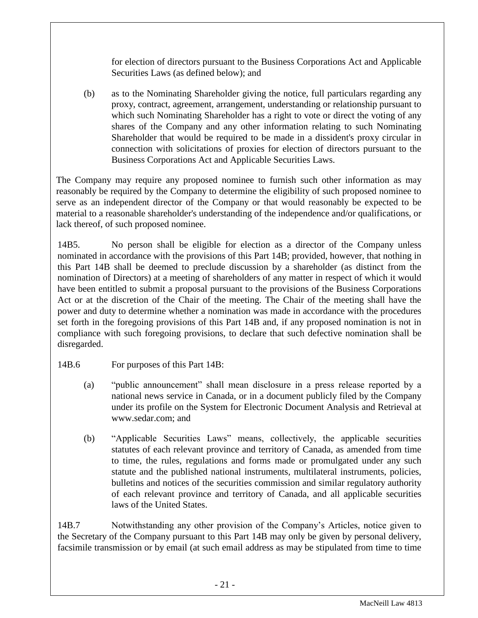for election of directors pursuant to the Business Corporations Act and Applicable Securities Laws (as defined below); and

(b) as to the Nominating Shareholder giving the notice, full particulars regarding any proxy, contract, agreement, arrangement, understanding or relationship pursuant to which such Nominating Shareholder has a right to vote or direct the voting of any shares of the Company and any other information relating to such Nominating Shareholder that would be required to be made in a dissident's proxy circular in connection with solicitations of proxies for election of directors pursuant to the Business Corporations Act and Applicable Securities Laws.

The Company may require any proposed nominee to furnish such other information as may reasonably be required by the Company to determine the eligibility of such proposed nominee to serve as an independent director of the Company or that would reasonably be expected to be material to a reasonable shareholder's understanding of the independence and/or qualifications, or lack thereof, of such proposed nominee.

14B5. No person shall be eligible for election as a director of the Company unless nominated in accordance with the provisions of this Part 14B; provided, however, that nothing in this Part 14B shall be deemed to preclude discussion by a shareholder (as distinct from the nomination of Directors) at a meeting of shareholders of any matter in respect of which it would have been entitled to submit a proposal pursuant to the provisions of the Business Corporations Act or at the discretion of the Chair of the meeting. The Chair of the meeting shall have the power and duty to determine whether a nomination was made in accordance with the procedures set forth in the foregoing provisions of this Part 14B and, if any proposed nomination is not in compliance with such foregoing provisions, to declare that such defective nomination shall be disregarded.

- 14B.6 For purposes of this Part 14B:
	- (a) "public announcement" shall mean disclosure in a press release reported by a national news service in Canada, or in a document publicly filed by the Company under its profile on the System for Electronic Document Analysis and Retrieval at www.sedar.com; and
	- (b) "Applicable Securities Laws" means, collectively, the applicable securities statutes of each relevant province and territory of Canada, as amended from time to time, the rules, regulations and forms made or promulgated under any such statute and the published national instruments, multilateral instruments, policies, bulletins and notices of the securities commission and similar regulatory authority of each relevant province and territory of Canada, and all applicable securities laws of the United States.

14B.7 Notwithstanding any other provision of the Company's Articles, notice given to the Secretary of the Company pursuant to this Part 14B may only be given by personal delivery, facsimile transmission or by email (at such email address as may be stipulated from time to time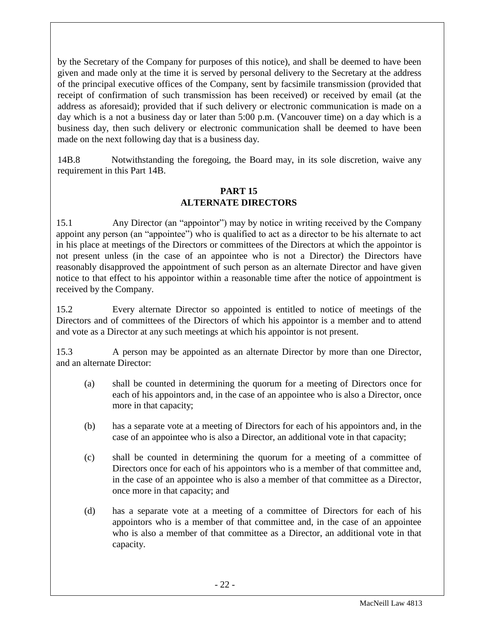by the Secretary of the Company for purposes of this notice), and shall be deemed to have been given and made only at the time it is served by personal delivery to the Secretary at the address of the principal executive offices of the Company, sent by facsimile transmission (provided that receipt of confirmation of such transmission has been received) or received by email (at the address as aforesaid); provided that if such delivery or electronic communication is made on a day which is a not a business day or later than 5:00 p.m. (Vancouver time) on a day which is a business day, then such delivery or electronic communication shall be deemed to have been made on the next following day that is a business day.

14B.8 Notwithstanding the foregoing, the Board may, in its sole discretion, waive any requirement in this Part 14B.

## **PART 15 ALTERNATE DIRECTORS**

<span id="page-22-0"></span>15.1 Any Director (an "appointor") may by notice in writing received by the Company appoint any person (an "appointee") who is qualified to act as a director to be his alternate to act in his place at meetings of the Directors or committees of the Directors at which the appointor is not present unless (in the case of an appointee who is not a Director) the Directors have reasonably disapproved the appointment of such person as an alternate Director and have given notice to that effect to his appointor within a reasonable time after the notice of appointment is received by the Company.

15.2 Every alternate Director so appointed is entitled to notice of meetings of the Directors and of committees of the Directors of which his appointor is a member and to attend and vote as a Director at any such meetings at which his appointor is not present.

15.3 A person may be appointed as an alternate Director by more than one Director, and an alternate Director:

- (a) shall be counted in determining the quorum for a meeting of Directors once for each of his appointors and, in the case of an appointee who is also a Director, once more in that capacity;
- (b) has a separate vote at a meeting of Directors for each of his appointors and, in the case of an appointee who is also a Director, an additional vote in that capacity;
- (c) shall be counted in determining the quorum for a meeting of a committee of Directors once for each of his appointors who is a member of that committee and, in the case of an appointee who is also a member of that committee as a Director, once more in that capacity; and
- (d) has a separate vote at a meeting of a committee of Directors for each of his appointors who is a member of that committee and, in the case of an appointee who is also a member of that committee as a Director, an additional vote in that capacity.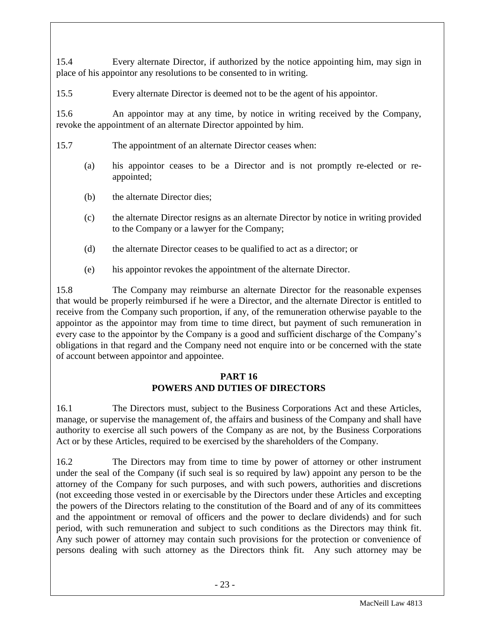15.4 Every alternate Director, if authorized by the notice appointing him, may sign in place of his appointor any resolutions to be consented to in writing.

15.5 Every alternate Director is deemed not to be the agent of his appointor.

15.6 An appointor may at any time, by notice in writing received by the Company, revoke the appointment of an alternate Director appointed by him.

- 15.7 The appointment of an alternate Director ceases when:
	- (a) his appointor ceases to be a Director and is not promptly re-elected or reappointed;
	- (b) the alternate Director dies;
	- (c) the alternate Director resigns as an alternate Director by notice in writing provided to the Company or a lawyer for the Company;
	- (d) the alternate Director ceases to be qualified to act as a director; or
	- (e) his appointor revokes the appointment of the alternate Director.

15.8 The Company may reimburse an alternate Director for the reasonable expenses that would be properly reimbursed if he were a Director, and the alternate Director is entitled to receive from the Company such proportion, if any, of the remuneration otherwise payable to the appointor as the appointor may from time to time direct, but payment of such remuneration in every case to the appointor by the Company is a good and sufficient discharge of the Company's obligations in that regard and the Company need not enquire into or be concerned with the state of account between appointor and appointee.

### **PART 16 POWERS AND DUTIES OF DIRECTORS**

<span id="page-23-0"></span>16.1 The Directors must, subject to the Business Corporations Act and these Articles, manage, or supervise the management of, the affairs and business of the Company and shall have authority to exercise all such powers of the Company as are not, by the Business Corporations Act or by these Articles, required to be exercised by the shareholders of the Company.

16.2 The Directors may from time to time by power of attorney or other instrument under the seal of the Company (if such seal is so required by law) appoint any person to be the attorney of the Company for such purposes, and with such powers, authorities and discretions (not exceeding those vested in or exercisable by the Directors under these Articles and excepting the powers of the Directors relating to the constitution of the Board and of any of its committees and the appointment or removal of officers and the power to declare dividends) and for such period, with such remuneration and subject to such conditions as the Directors may think fit. Any such power of attorney may contain such provisions for the protection or convenience of persons dealing with such attorney as the Directors think fit. Any such attorney may be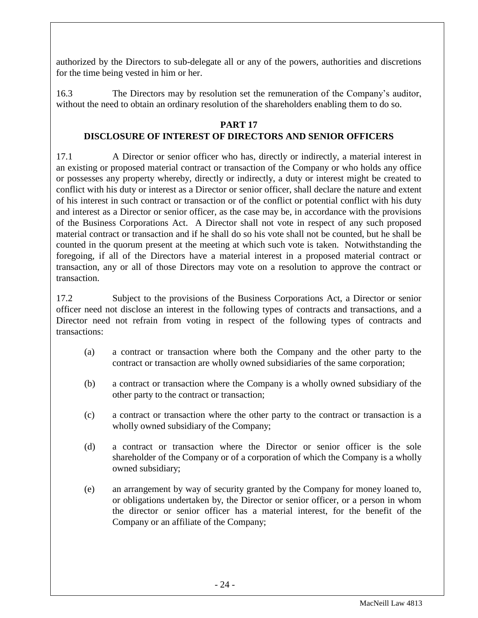authorized by the Directors to sub-delegate all or any of the powers, authorities and discretions for the time being vested in him or her.

16.3 The Directors may by resolution set the remuneration of the Company's auditor, without the need to obtain an ordinary resolution of the shareholders enabling them to do so.

## **PART 17**

# **DISCLOSURE OF INTEREST OF DIRECTORS AND SENIOR OFFICERS**

<span id="page-24-0"></span>17.1 A Director or senior officer who has, directly or indirectly, a material interest in an existing or proposed material contract or transaction of the Company or who holds any office or possesses any property whereby, directly or indirectly, a duty or interest might be created to conflict with his duty or interest as a Director or senior officer, shall declare the nature and extent of his interest in such contract or transaction or of the conflict or potential conflict with his duty and interest as a Director or senior officer, as the case may be, in accordance with the provisions of the Business Corporations Act. A Director shall not vote in respect of any such proposed material contract or transaction and if he shall do so his vote shall not be counted, but he shall be counted in the quorum present at the meeting at which such vote is taken. Notwithstanding the foregoing, if all of the Directors have a material interest in a proposed material contract or transaction, any or all of those Directors may vote on a resolution to approve the contract or transaction.

17.2 Subject to the provisions of the Business Corporations Act, a Director or senior officer need not disclose an interest in the following types of contracts and transactions, and a Director need not refrain from voting in respect of the following types of contracts and transactions:

- (a) a contract or transaction where both the Company and the other party to the contract or transaction are wholly owned subsidiaries of the same corporation;
- (b) a contract or transaction where the Company is a wholly owned subsidiary of the other party to the contract or transaction;
- (c) a contract or transaction where the other party to the contract or transaction is a wholly owned subsidiary of the Company;
- (d) a contract or transaction where the Director or senior officer is the sole shareholder of the Company or of a corporation of which the Company is a wholly owned subsidiary;
- (e) an arrangement by way of security granted by the Company for money loaned to, or obligations undertaken by, the Director or senior officer, or a person in whom the director or senior officer has a material interest, for the benefit of the Company or an affiliate of the Company;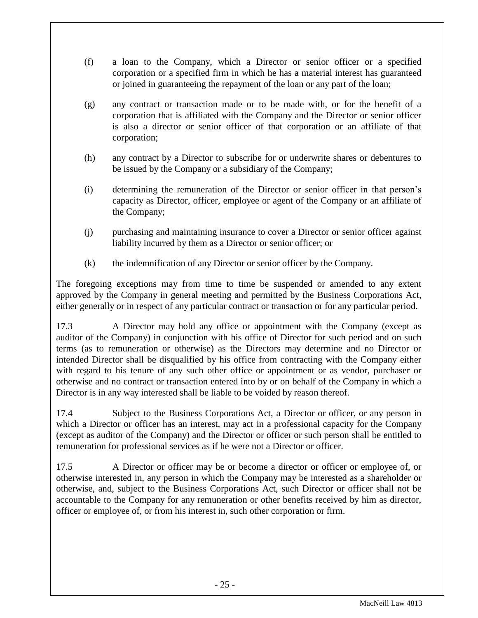- (f) a loan to the Company, which a Director or senior officer or a specified corporation or a specified firm in which he has a material interest has guaranteed or joined in guaranteeing the repayment of the loan or any part of the loan;
- (g) any contract or transaction made or to be made with, or for the benefit of a corporation that is affiliated with the Company and the Director or senior officer is also a director or senior officer of that corporation or an affiliate of that corporation;
- (h) any contract by a Director to subscribe for or underwrite shares or debentures to be issued by the Company or a subsidiary of the Company;
- (i) determining the remuneration of the Director or senior officer in that person's capacity as Director, officer, employee or agent of the Company or an affiliate of the Company;
- (j) purchasing and maintaining insurance to cover a Director or senior officer against liability incurred by them as a Director or senior officer; or
- (k) the indemnification of any Director or senior officer by the Company.

The foregoing exceptions may from time to time be suspended or amended to any extent approved by the Company in general meeting and permitted by the Business Corporations Act, either generally or in respect of any particular contract or transaction or for any particular period.

17.3 A Director may hold any office or appointment with the Company (except as auditor of the Company) in conjunction with his office of Director for such period and on such terms (as to remuneration or otherwise) as the Directors may determine and no Director or intended Director shall be disqualified by his office from contracting with the Company either with regard to his tenure of any such other office or appointment or as vendor, purchaser or otherwise and no contract or transaction entered into by or on behalf of the Company in which a Director is in any way interested shall be liable to be voided by reason thereof.

17.4 Subject to the Business Corporations Act, a Director or officer, or any person in which a Director or officer has an interest, may act in a professional capacity for the Company (except as auditor of the Company) and the Director or officer or such person shall be entitled to remuneration for professional services as if he were not a Director or officer.

17.5 A Director or officer may be or become a director or officer or employee of, or otherwise interested in, any person in which the Company may be interested as a shareholder or otherwise, and, subject to the Business Corporations Act, such Director or officer shall not be accountable to the Company for any remuneration or other benefits received by him as director, officer or employee of, or from his interest in, such other corporation or firm.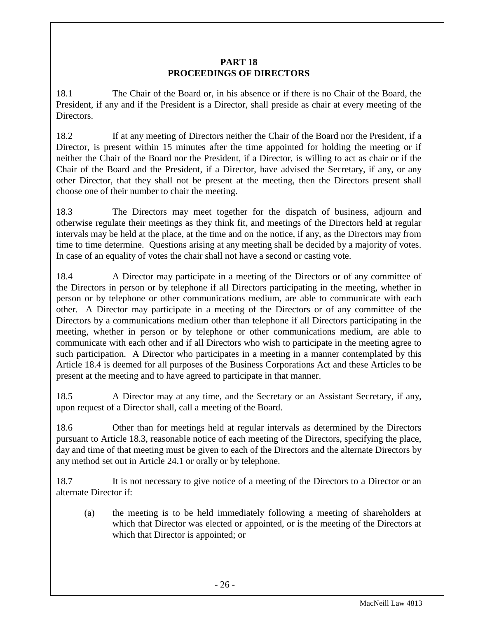## **PART 18 PROCEEDINGS OF DIRECTORS**

<span id="page-26-0"></span>18.1 The Chair of the Board or, in his absence or if there is no Chair of the Board, the President, if any and if the President is a Director, shall preside as chair at every meeting of the Directors.

18.2 If at any meeting of Directors neither the Chair of the Board nor the President, if a Director, is present within 15 minutes after the time appointed for holding the meeting or if neither the Chair of the Board nor the President, if a Director, is willing to act as chair or if the Chair of the Board and the President, if a Director, have advised the Secretary, if any, or any other Director, that they shall not be present at the meeting, then the Directors present shall choose one of their number to chair the meeting.

18.3 The Directors may meet together for the dispatch of business, adjourn and otherwise regulate their meetings as they think fit, and meetings of the Directors held at regular intervals may be held at the place, at the time and on the notice, if any, as the Directors may from time to time determine. Questions arising at any meeting shall be decided by a majority of votes. In case of an equality of votes the chair shall not have a second or casting vote.

18.4 A Director may participate in a meeting of the Directors or of any committee of the Directors in person or by telephone if all Directors participating in the meeting, whether in person or by telephone or other communications medium, are able to communicate with each other. A Director may participate in a meeting of the Directors or of any committee of the Directors by a communications medium other than telephone if all Directors participating in the meeting, whether in person or by telephone or other communications medium, are able to communicate with each other and if all Directors who wish to participate in the meeting agree to such participation. A Director who participates in a meeting in a manner contemplated by this Article 18.4 is deemed for all purposes of the Business Corporations Act and these Articles to be present at the meeting and to have agreed to participate in that manner.

18.5 A Director may at any time, and the Secretary or an Assistant Secretary, if any, upon request of a Director shall, call a meeting of the Board.

18.6 Other than for meetings held at regular intervals as determined by the Directors pursuant to Article 18.3, reasonable notice of each meeting of the Directors, specifying the place, day and time of that meeting must be given to each of the Directors and the alternate Directors by any method set out in Article 24.1 or orally or by telephone.

18.7 It is not necessary to give notice of a meeting of the Directors to a Director or an alternate Director if:

(a) the meeting is to be held immediately following a meeting of shareholders at which that Director was elected or appointed, or is the meeting of the Directors at which that Director is appointed; or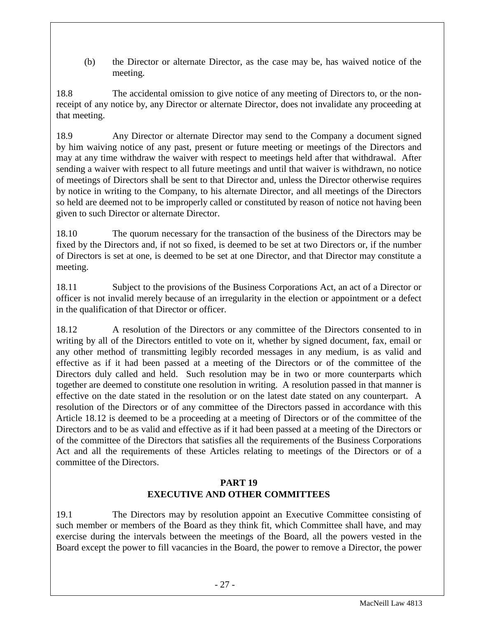(b) the Director or alternate Director, as the case may be, has waived notice of the meeting.

18.8 The accidental omission to give notice of any meeting of Directors to, or the nonreceipt of any notice by, any Director or alternate Director, does not invalidate any proceeding at that meeting.

18.9 Any Director or alternate Director may send to the Company a document signed by him waiving notice of any past, present or future meeting or meetings of the Directors and may at any time withdraw the waiver with respect to meetings held after that withdrawal. After sending a waiver with respect to all future meetings and until that waiver is withdrawn, no notice of meetings of Directors shall be sent to that Director and, unless the Director otherwise requires by notice in writing to the Company, to his alternate Director, and all meetings of the Directors so held are deemed not to be improperly called or constituted by reason of notice not having been given to such Director or alternate Director.

18.10 The quorum necessary for the transaction of the business of the Directors may be fixed by the Directors and, if not so fixed, is deemed to be set at two Directors or, if the number of Directors is set at one, is deemed to be set at one Director, and that Director may constitute a meeting.

18.11 Subject to the provisions of the Business Corporations Act, an act of a Director or officer is not invalid merely because of an irregularity in the election or appointment or a defect in the qualification of that Director or officer.

18.12 A resolution of the Directors or any committee of the Directors consented to in writing by all of the Directors entitled to vote on it, whether by signed document, fax, email or any other method of transmitting legibly recorded messages in any medium, is as valid and effective as if it had been passed at a meeting of the Directors or of the committee of the Directors duly called and held. Such resolution may be in two or more counterparts which together are deemed to constitute one resolution in writing. A resolution passed in that manner is effective on the date stated in the resolution or on the latest date stated on any counterpart. A resolution of the Directors or of any committee of the Directors passed in accordance with this Article 18.12 is deemed to be a proceeding at a meeting of Directors or of the committee of the Directors and to be as valid and effective as if it had been passed at a meeting of the Directors or of the committee of the Directors that satisfies all the requirements of the Business Corporations Act and all the requirements of these Articles relating to meetings of the Directors or of a committee of the Directors.

## **PART 19 EXECUTIVE AND OTHER COMMITTEES**

<span id="page-27-0"></span>19.1 The Directors may by resolution appoint an Executive Committee consisting of such member or members of the Board as they think fit, which Committee shall have, and may exercise during the intervals between the meetings of the Board, all the powers vested in the Board except the power to fill vacancies in the Board, the power to remove a Director, the power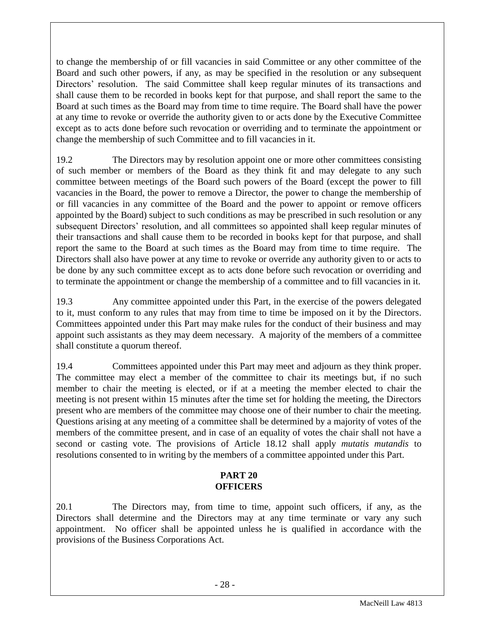to change the membership of or fill vacancies in said Committee or any other committee of the Board and such other powers, if any, as may be specified in the resolution or any subsequent Directors' resolution. The said Committee shall keep regular minutes of its transactions and shall cause them to be recorded in books kept for that purpose, and shall report the same to the Board at such times as the Board may from time to time require. The Board shall have the power at any time to revoke or override the authority given to or acts done by the Executive Committee except as to acts done before such revocation or overriding and to terminate the appointment or change the membership of such Committee and to fill vacancies in it.

19.2 The Directors may by resolution appoint one or more other committees consisting of such member or members of the Board as they think fit and may delegate to any such committee between meetings of the Board such powers of the Board (except the power to fill vacancies in the Board, the power to remove a Director, the power to change the membership of or fill vacancies in any committee of the Board and the power to appoint or remove officers appointed by the Board) subject to such conditions as may be prescribed in such resolution or any subsequent Directors' resolution, and all committees so appointed shall keep regular minutes of their transactions and shall cause them to be recorded in books kept for that purpose, and shall report the same to the Board at such times as the Board may from time to time require. The Directors shall also have power at any time to revoke or override any authority given to or acts to be done by any such committee except as to acts done before such revocation or overriding and to terminate the appointment or change the membership of a committee and to fill vacancies in it.

19.3 Any committee appointed under this Part, in the exercise of the powers delegated to it, must conform to any rules that may from time to time be imposed on it by the Directors. Committees appointed under this Part may make rules for the conduct of their business and may appoint such assistants as they may deem necessary. A majority of the members of a committee shall constitute a quorum thereof.

19.4 Committees appointed under this Part may meet and adjourn as they think proper. The committee may elect a member of the committee to chair its meetings but, if no such member to chair the meeting is elected, or if at a meeting the member elected to chair the meeting is not present within 15 minutes after the time set for holding the meeting, the Directors present who are members of the committee may choose one of their number to chair the meeting. Questions arising at any meeting of a committee shall be determined by a majority of votes of the members of the committee present, and in case of an equality of votes the chair shall not have a second or casting vote. The provisions of Article 18.12 shall apply *mutatis mutandis* to resolutions consented to in writing by the members of a committee appointed under this Part.

## **PART 20 OFFICERS**

<span id="page-28-0"></span>20.1 The Directors may, from time to time, appoint such officers, if any, as the Directors shall determine and the Directors may at any time terminate or vary any such appointment. No officer shall be appointed unless he is qualified in accordance with the provisions of the Business Corporations Act.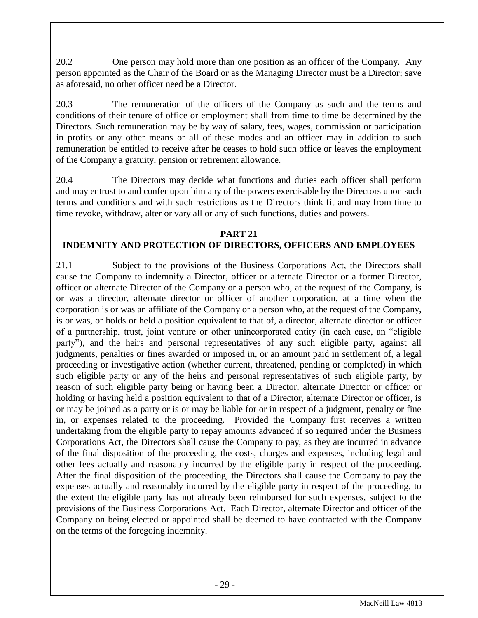20.2 One person may hold more than one position as an officer of the Company. Any person appointed as the Chair of the Board or as the Managing Director must be a Director; save as aforesaid, no other officer need be a Director.

20.3 The remuneration of the officers of the Company as such and the terms and conditions of their tenure of office or employment shall from time to time be determined by the Directors. Such remuneration may be by way of salary, fees, wages, commission or participation in profits or any other means or all of these modes and an officer may in addition to such remuneration be entitled to receive after he ceases to hold such office or leaves the employment of the Company a gratuity, pension or retirement allowance.

20.4 The Directors may decide what functions and duties each officer shall perform and may entrust to and confer upon him any of the powers exercisable by the Directors upon such terms and conditions and with such restrictions as the Directors think fit and may from time to time revoke, withdraw, alter or vary all or any of such functions, duties and powers.

## **PART 21**

# <span id="page-29-0"></span>**INDEMNITY AND PROTECTION OF DIRECTORS, OFFICERS AND EMPLOYEES**

21.1 Subject to the provisions of the Business Corporations Act, the Directors shall cause the Company to indemnify a Director, officer or alternate Director or a former Director, officer or alternate Director of the Company or a person who, at the request of the Company, is or was a director, alternate director or officer of another corporation, at a time when the corporation is or was an affiliate of the Company or a person who, at the request of the Company, is or was, or holds or held a position equivalent to that of, a director, alternate director or officer of a partnership, trust, joint venture or other unincorporated entity (in each case, an "eligible party"), and the heirs and personal representatives of any such eligible party, against all judgments, penalties or fines awarded or imposed in, or an amount paid in settlement of, a legal proceeding or investigative action (whether current, threatened, pending or completed) in which such eligible party or any of the heirs and personal representatives of such eligible party, by reason of such eligible party being or having been a Director, alternate Director or officer or holding or having held a position equivalent to that of a Director, alternate Director or officer, is or may be joined as a party or is or may be liable for or in respect of a judgment, penalty or fine in, or expenses related to the proceeding. Provided the Company first receives a written undertaking from the eligible party to repay amounts advanced if so required under the Business Corporations Act, the Directors shall cause the Company to pay, as they are incurred in advance of the final disposition of the proceeding, the costs, charges and expenses, including legal and other fees actually and reasonably incurred by the eligible party in respect of the proceeding. After the final disposition of the proceeding, the Directors shall cause the Company to pay the expenses actually and reasonably incurred by the eligible party in respect of the proceeding, to the extent the eligible party has not already been reimbursed for such expenses, subject to the provisions of the Business Corporations Act. Each Director, alternate Director and officer of the Company on being elected or appointed shall be deemed to have contracted with the Company on the terms of the foregoing indemnity.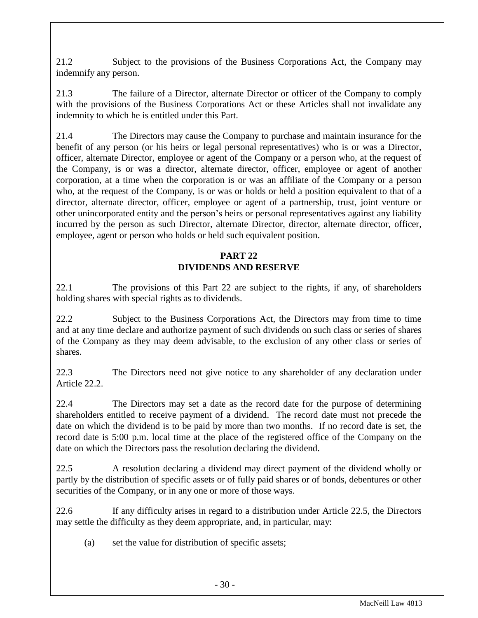21.2 Subject to the provisions of the Business Corporations Act, the Company may indemnify any person.

21.3 The failure of a Director, alternate Director or officer of the Company to comply with the provisions of the Business Corporations Act or these Articles shall not invalidate any indemnity to which he is entitled under this Part.

21.4 The Directors may cause the Company to purchase and maintain insurance for the benefit of any person (or his heirs or legal personal representatives) who is or was a Director, officer, alternate Director, employee or agent of the Company or a person who, at the request of the Company, is or was a director, alternate director, officer, employee or agent of another corporation, at a time when the corporation is or was an affiliate of the Company or a person who, at the request of the Company, is or was or holds or held a position equivalent to that of a director, alternate director, officer, employee or agent of a partnership, trust, joint venture or other unincorporated entity and the person's heirs or personal representatives against any liability incurred by the person as such Director, alternate Director, director, alternate director, officer, employee, agent or person who holds or held such equivalent position.

## **PART 22 DIVIDENDS AND RESERVE**

<span id="page-30-0"></span>22.1 The provisions of this Part 22 are subject to the rights, if any, of shareholders holding shares with special rights as to dividends.

22.2 Subject to the Business Corporations Act, the Directors may from time to time and at any time declare and authorize payment of such dividends on such class or series of shares of the Company as they may deem advisable, to the exclusion of any other class or series of shares.

22.3 The Directors need not give notice to any shareholder of any declaration under Article 22.2.

22.4 The Directors may set a date as the record date for the purpose of determining shareholders entitled to receive payment of a dividend. The record date must not precede the date on which the dividend is to be paid by more than two months. If no record date is set, the record date is 5:00 p.m. local time at the place of the registered office of the Company on the date on which the Directors pass the resolution declaring the dividend.

22.5 A resolution declaring a dividend may direct payment of the dividend wholly or partly by the distribution of specific assets or of fully paid shares or of bonds, debentures or other securities of the Company, or in any one or more of those ways.

22.6 If any difficulty arises in regard to a distribution under Article 22.5, the Directors may settle the difficulty as they deem appropriate, and, in particular, may:

(a) set the value for distribution of specific assets;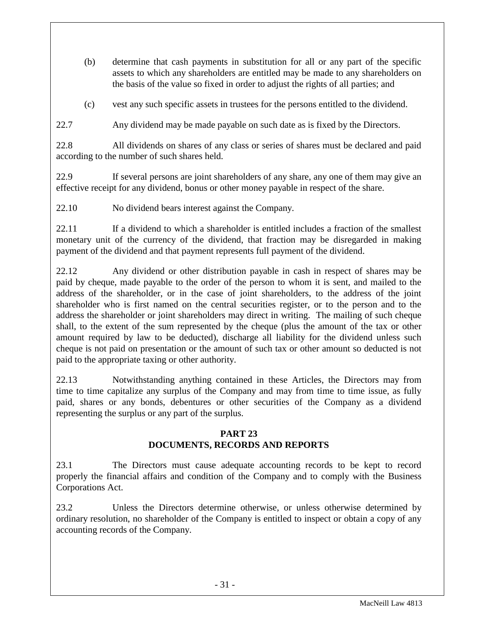- (b) determine that cash payments in substitution for all or any part of the specific assets to which any shareholders are entitled may be made to any shareholders on the basis of the value so fixed in order to adjust the rights of all parties; and
- (c) vest any such specific assets in trustees for the persons entitled to the dividend.

22.7 Any dividend may be made payable on such date as is fixed by the Directors.

22.8 All dividends on shares of any class or series of shares must be declared and paid according to the number of such shares held.

22.9 If several persons are joint shareholders of any share, any one of them may give an effective receipt for any dividend, bonus or other money payable in respect of the share.

22.10 No dividend bears interest against the Company.

22.11 If a dividend to which a shareholder is entitled includes a fraction of the smallest monetary unit of the currency of the dividend, that fraction may be disregarded in making payment of the dividend and that payment represents full payment of the dividend.

22.12 Any dividend or other distribution payable in cash in respect of shares may be paid by cheque, made payable to the order of the person to whom it is sent, and mailed to the address of the shareholder, or in the case of joint shareholders, to the address of the joint shareholder who is first named on the central securities register, or to the person and to the address the shareholder or joint shareholders may direct in writing. The mailing of such cheque shall, to the extent of the sum represented by the cheque (plus the amount of the tax or other amount required by law to be deducted), discharge all liability for the dividend unless such cheque is not paid on presentation or the amount of such tax or other amount so deducted is not paid to the appropriate taxing or other authority.

22.13 Notwithstanding anything contained in these Articles, the Directors may from time to time capitalize any surplus of the Company and may from time to time issue, as fully paid, shares or any bonds, debentures or other securities of the Company as a dividend representing the surplus or any part of the surplus.

## **PART 23 DOCUMENTS, RECORDS AND REPORTS**

<span id="page-31-0"></span>23.1 The Directors must cause adequate accounting records to be kept to record properly the financial affairs and condition of the Company and to comply with the Business Corporations Act.

23.2 Unless the Directors determine otherwise, or unless otherwise determined by ordinary resolution, no shareholder of the Company is entitled to inspect or obtain a copy of any accounting records of the Company.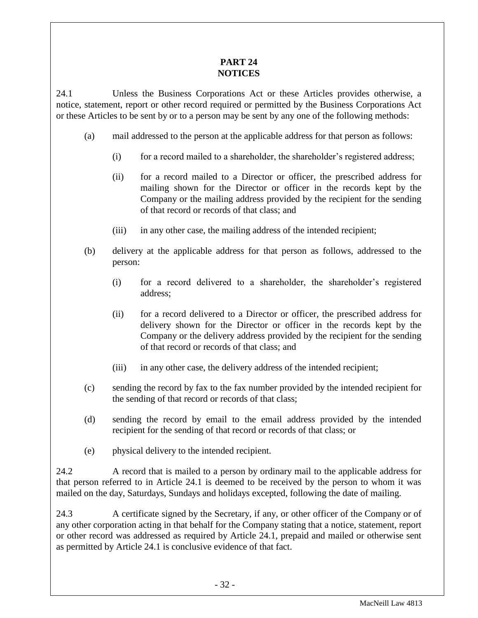## **PART 24 NOTICES**

<span id="page-32-0"></span>24.1 Unless the Business Corporations Act or these Articles provides otherwise, a notice, statement, report or other record required or permitted by the Business Corporations Act or these Articles to be sent by or to a person may be sent by any one of the following methods:

- (a) mail addressed to the person at the applicable address for that person as follows:
	- (i) for a record mailed to a shareholder, the shareholder's registered address;
	- (ii) for a record mailed to a Director or officer, the prescribed address for mailing shown for the Director or officer in the records kept by the Company or the mailing address provided by the recipient for the sending of that record or records of that class; and
	- (iii) in any other case, the mailing address of the intended recipient;
- (b) delivery at the applicable address for that person as follows, addressed to the person:
	- (i) for a record delivered to a shareholder, the shareholder's registered address;
	- (ii) for a record delivered to a Director or officer, the prescribed address for delivery shown for the Director or officer in the records kept by the Company or the delivery address provided by the recipient for the sending of that record or records of that class; and
	- (iii) in any other case, the delivery address of the intended recipient;
- (c) sending the record by fax to the fax number provided by the intended recipient for the sending of that record or records of that class;
- (d) sending the record by email to the email address provided by the intended recipient for the sending of that record or records of that class; or
- (e) physical delivery to the intended recipient.

24.2 A record that is mailed to a person by ordinary mail to the applicable address for that person referred to in Article 24.1 is deemed to be received by the person to whom it was mailed on the day, Saturdays, Sundays and holidays excepted, following the date of mailing.

24.3 A certificate signed by the Secretary, if any, or other officer of the Company or of any other corporation acting in that behalf for the Company stating that a notice, statement, report or other record was addressed as required by Article 24.1, prepaid and mailed or otherwise sent as permitted by Article 24.1 is conclusive evidence of that fact.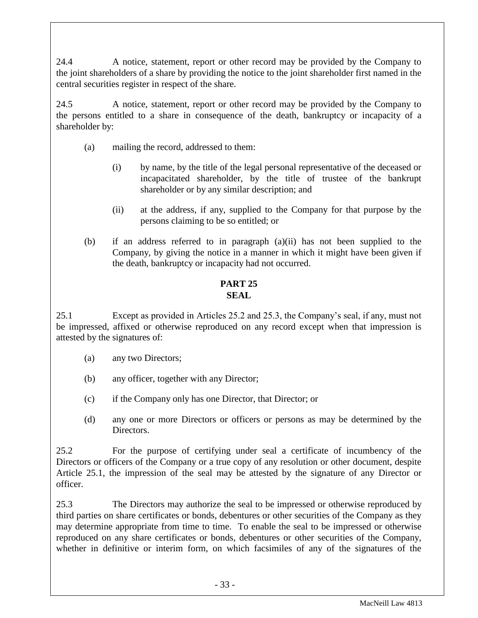24.4 A notice, statement, report or other record may be provided by the Company to the joint shareholders of a share by providing the notice to the joint shareholder first named in the central securities register in respect of the share.

24.5 A notice, statement, report or other record may be provided by the Company to the persons entitled to a share in consequence of the death, bankruptcy or incapacity of a shareholder by:

- (a) mailing the record, addressed to them:
	- (i) by name, by the title of the legal personal representative of the deceased or incapacitated shareholder, by the title of trustee of the bankrupt shareholder or by any similar description; and
	- (ii) at the address, if any, supplied to the Company for that purpose by the persons claiming to be so entitled; or
- (b) if an address referred to in paragraph (a)(ii) has not been supplied to the Company, by giving the notice in a manner in which it might have been given if the death, bankruptcy or incapacity had not occurred.

#### **PART 25 SEAL**

<span id="page-33-0"></span>25.1 Except as provided in Articles 25.2 and 25.3, the Company's seal, if any, must not be impressed, affixed or otherwise reproduced on any record except when that impression is attested by the signatures of:

- (a) any two Directors;
- (b) any officer, together with any Director;
- (c) if the Company only has one Director, that Director; or
- (d) any one or more Directors or officers or persons as may be determined by the Directors.

25.2 For the purpose of certifying under seal a certificate of incumbency of the Directors or officers of the Company or a true copy of any resolution or other document, despite Article 25.1, the impression of the seal may be attested by the signature of any Director or officer.

25.3 The Directors may authorize the seal to be impressed or otherwise reproduced by third parties on share certificates or bonds, debentures or other securities of the Company as they may determine appropriate from time to time. To enable the seal to be impressed or otherwise reproduced on any share certificates or bonds, debentures or other securities of the Company, whether in definitive or interim form, on which facsimiles of any of the signatures of the